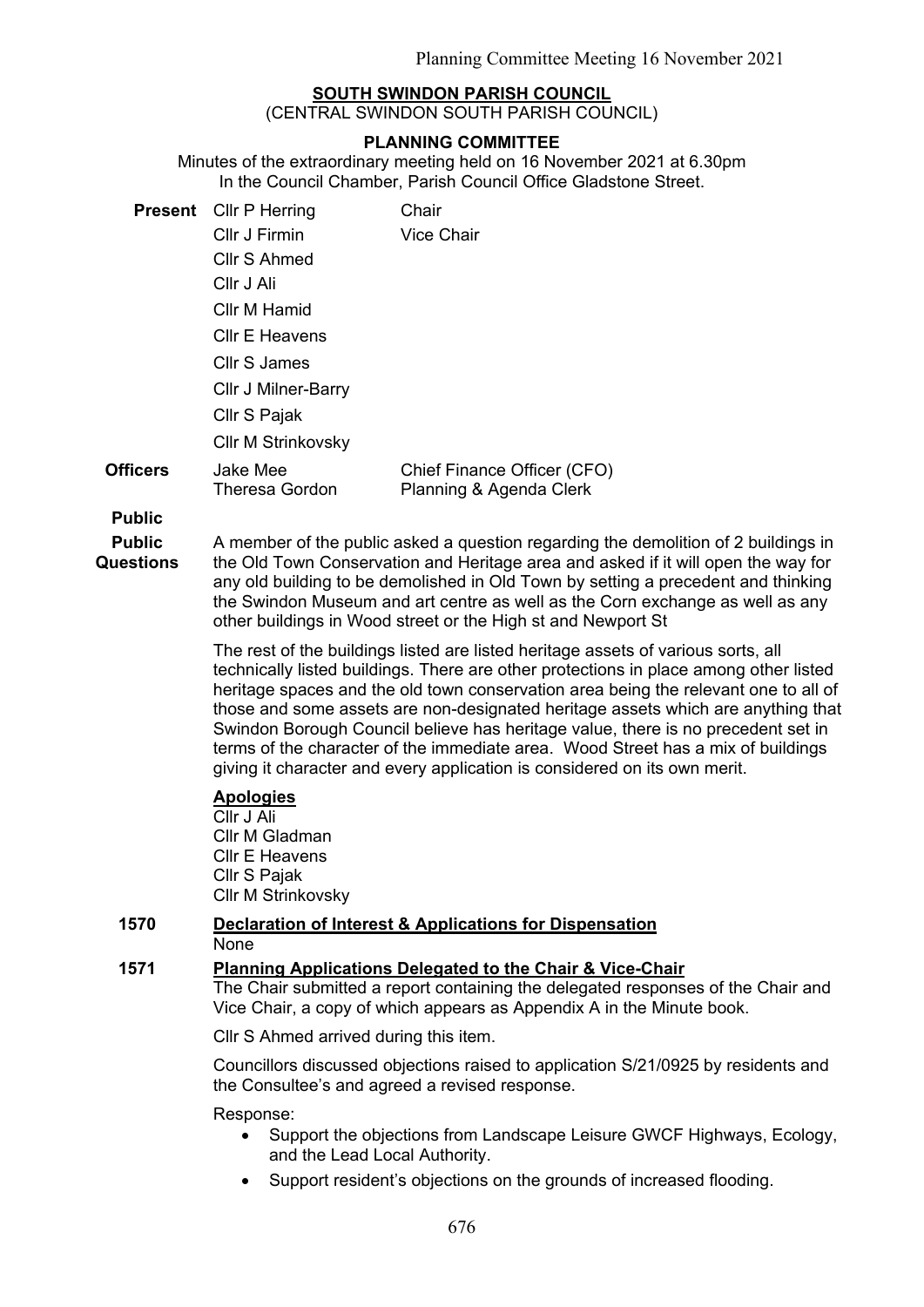## **SOUTH SWINDON PARISH COUNCIL**

(CENTRAL SWINDON SOUTH PARISH COUNCIL)

### **PLANNING COMMITTEE**

Minutes of the extraordinary meeting held on 16 November 2021 at 6.30pm In the Council Chamber, Parish Council Office Gladstone Street.

|          | <b>Present</b> Cllr P Herring     | Chair                                                  |
|----------|-----------------------------------|--------------------------------------------------------|
|          | Cllr J Firmin                     | Vice Chair                                             |
|          | Cllr S Ahmed                      |                                                        |
|          | Cllr J Ali                        |                                                        |
|          | Cllr M Hamid                      |                                                        |
|          | <b>CIIr E Heavens</b>             |                                                        |
|          | Cllr S James                      |                                                        |
|          | <b>CIIr J Milner-Barry</b>        |                                                        |
|          | Cllr S Pajak                      |                                                        |
|          | <b>CIIr M Strinkovsky</b>         |                                                        |
| Officers | Jake Mee<br><b>Theresa Gordon</b> | Chief Finance Officer (CFO)<br>Planning & Agenda Clerk |

**Public**

**Public Questions**

A member of the public asked a question regarding the demolition of 2 buildings in the Old Town Conservation and Heritage area and asked if it will open the way for any old building to be demolished in Old Town by setting a precedent and thinking the Swindon Museum and art centre as well as the Corn exchange as well as any other buildings in Wood street or the High st and Newport St

The rest of the buildings listed are listed heritage assets of various sorts, all technically listed buildings. There are other protections in place among other listed heritage spaces and the old town conservation area being the relevant one to all of those and some assets are non-designated heritage assets which are anything that Swindon Borough Council believe has heritage value, there is no precedent set in terms of the character of the immediate area. Wood Street has a mix of buildings giving it character and every application is considered on its own merit.

# **Apologies**

Cllr J Ali Cllr M Gladman Cllr E Heavens Cllr S Pajak Cllr M Strinkovsky

#### **1570 Declaration of Interest & Applications for Dispensation None**

### **1571 Planning Applications Delegated to the Chair & Vice-Chair**

The Chair submitted a report containing the delegated responses of the Chair and Vice Chair, a copy of which appears as Appendix A in the Minute book.

Cllr S Ahmed arrived during this item.

Councillors discussed objections raised to application S/21/0925 by residents and the Consultee's and agreed a revised response.

Response:

- Support the objections from Landscape Leisure GWCF Highways, Ecology, and the Lead Local Authority.
- Support resident's objections on the grounds of increased flooding.